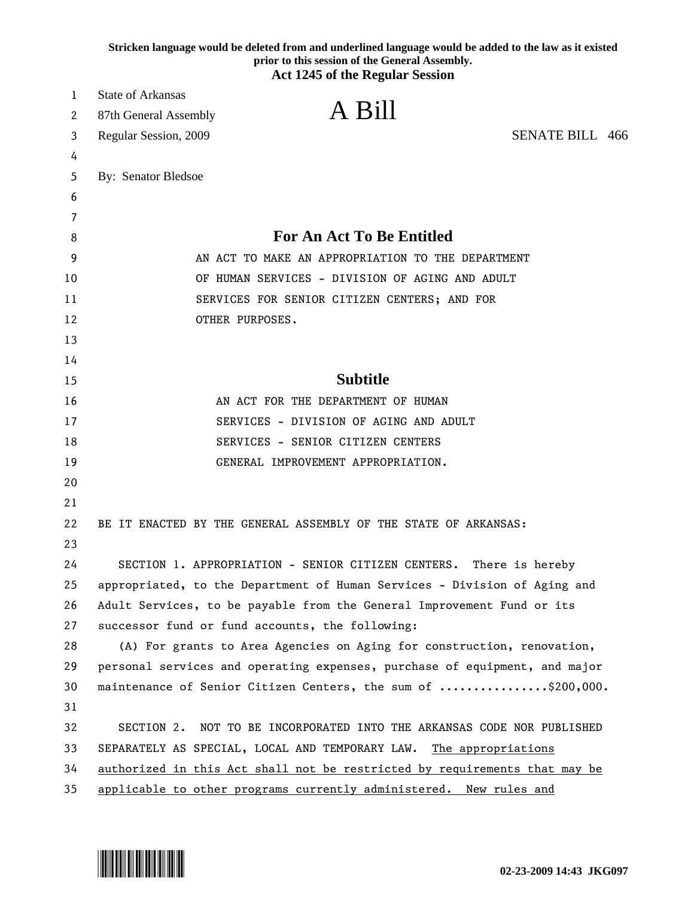|    | Stricken language would be deleted from and underlined language would be added to the law as it existed<br>prior to this session of the General Assembly.<br><b>Act 1245 of the Regular Session</b> |
|----|-----------------------------------------------------------------------------------------------------------------------------------------------------------------------------------------------------|
| 1  | <b>State of Arkansas</b>                                                                                                                                                                            |
| 2  | A Bill<br>87th General Assembly                                                                                                                                                                     |
| 3  | <b>SENATE BILL 466</b><br>Regular Session, 2009                                                                                                                                                     |
| 4  |                                                                                                                                                                                                     |
| 5  | By: Senator Bledsoe                                                                                                                                                                                 |
| 6  |                                                                                                                                                                                                     |
| 7  |                                                                                                                                                                                                     |
| 8  | <b>For An Act To Be Entitled</b>                                                                                                                                                                    |
| 9  | AN ACT TO MAKE AN APPROPRIATION TO THE DEPARTMENT                                                                                                                                                   |
| 10 | OF HUMAN SERVICES - DIVISION OF AGING AND ADULT                                                                                                                                                     |
| 11 | SERVICES FOR SENIOR CITIZEN CENTERS; AND FOR                                                                                                                                                        |
| 12 | OTHER PURPOSES.                                                                                                                                                                                     |
| 13 |                                                                                                                                                                                                     |
| 14 |                                                                                                                                                                                                     |
| 15 | <b>Subtitle</b>                                                                                                                                                                                     |
| 16 | AN ACT FOR THE DEPARTMENT OF HUMAN                                                                                                                                                                  |
| 17 | SERVICES - DIVISION OF AGING AND ADULT                                                                                                                                                              |
| 18 | SERVICES - SENIOR CITIZEN CENTERS                                                                                                                                                                   |
| 19 | GENERAL IMPROVEMENT APPROPRIATION.                                                                                                                                                                  |
| 20 |                                                                                                                                                                                                     |
| 21 |                                                                                                                                                                                                     |
| 22 | BE IT ENACTED BY THE GENERAL ASSEMBLY OF THE STATE OF ARKANSAS:                                                                                                                                     |
| 23 |                                                                                                                                                                                                     |
| 24 | SECTION 1. APPROPRIATION - SENIOR CITIZEN CENTERS. There is hereby                                                                                                                                  |
| 25 | appropriated, to the Department of Human Services - Division of Aging and                                                                                                                           |
| 26 | Adult Services, to be payable from the General Improvement Fund or its                                                                                                                              |
| 27 | successor fund or fund accounts, the following:                                                                                                                                                     |
| 28 | (A) For grants to Area Agencies on Aging for construction, renovation,                                                                                                                              |
| 29 | personal services and operating expenses, purchase of equipment, and major                                                                                                                          |
| 30 | maintenance of Senior Citizen Centers, the sum of \$200,000.                                                                                                                                        |
| 31 |                                                                                                                                                                                                     |
| 32 | SECTION 2. NOT TO BE INCORPORATED INTO THE ARKANSAS CODE NOR PUBLISHED                                                                                                                              |
| 33 | SEPARATELY AS SPECIAL, LOCAL AND TEMPORARY LAW. The appropriations                                                                                                                                  |
| 34 | authorized in this Act shall not be restricted by requirements that may be                                                                                                                          |
| 35 | applicable to other programs currently administered. New rules and                                                                                                                                  |

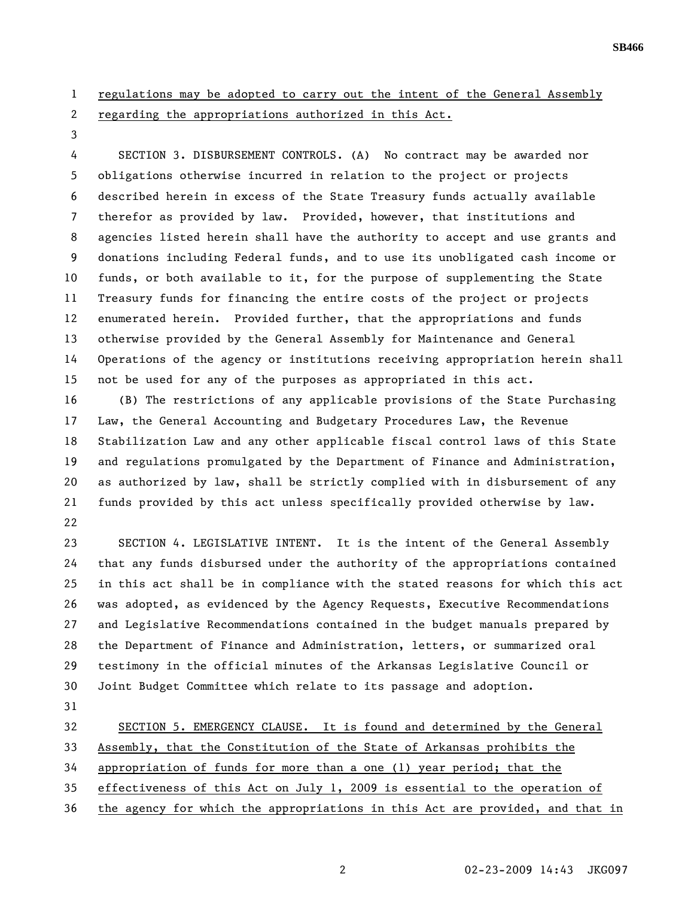- 1 regulations may be adopted to carry out the intent of the General Assembly 2 regarding the appropriations authorized in this Act.
- 3

4 SECTION 3. DISBURSEMENT CONTROLS. (A) No contract may be awarded nor 5 obligations otherwise incurred in relation to the project or projects 6 described herein in excess of the State Treasury funds actually available 7 therefor as provided by law. Provided, however, that institutions and 8 agencies listed herein shall have the authority to accept and use grants and 9 donations including Federal funds, and to use its unobligated cash income or 10 funds, or both available to it, for the purpose of supplementing the State 11 Treasury funds for financing the entire costs of the project or projects 12 enumerated herein. Provided further, that the appropriations and funds 13 otherwise provided by the General Assembly for Maintenance and General 14 Operations of the agency or institutions receiving appropriation herein shall 15 not be used for any of the purposes as appropriated in this act.

16 (B) The restrictions of any applicable provisions of the State Purchasing 17 Law, the General Accounting and Budgetary Procedures Law, the Revenue 18 Stabilization Law and any other applicable fiscal control laws of this State 19 and regulations promulgated by the Department of Finance and Administration, 20 as authorized by law, shall be strictly complied with in disbursement of any 21 funds provided by this act unless specifically provided otherwise by law. 22

23 SECTION 4. LEGISLATIVE INTENT. It is the intent of the General Assembly 24 that any funds disbursed under the authority of the appropriations contained 25 in this act shall be in compliance with the stated reasons for which this act 26 was adopted, as evidenced by the Agency Requests, Executive Recommendations 27 and Legislative Recommendations contained in the budget manuals prepared by 28 the Department of Finance and Administration, letters, or summarized oral 29 testimony in the official minutes of the Arkansas Legislative Council or 30 Joint Budget Committee which relate to its passage and adoption.

31

32 SECTION 5. EMERGENCY CLAUSE. It is found and determined by the General

33 Assembly, that the Constitution of the State of Arkansas prohibits the

34 appropriation of funds for more than a one (1) year period; that the

35 effectiveness of this Act on July 1, 2009 is essential to the operation of

36 the agency for which the appropriations in this Act are provided, and that in